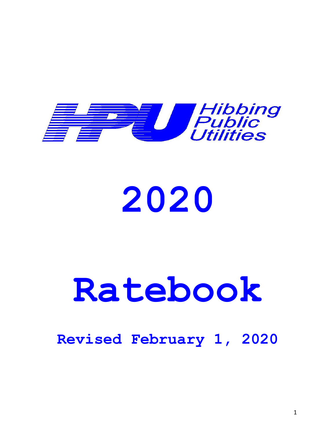

# **2020**

# **Ratebook**

# **Revised February 1, 2020**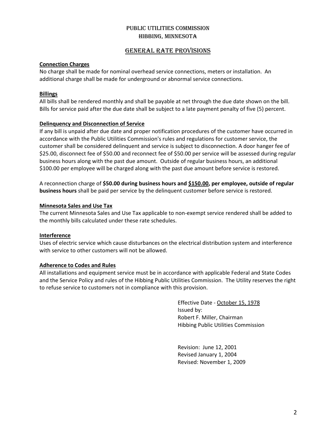### GENERAL RATE PROVISIONS

### **Connection Charges**

No charge shall be made for nominal overhead service connections, meters or installation. An additional charge shall be made for underground or abnormal service connections.

### **Billings**

All bills shall be rendered monthly and shall be payable at net through the due date shown on the bill. Bills for service paid after the due date shall be subject to a late payment penalty of five (5) percent.

### **Delinquency and Disconnection of Service**

If any bill is unpaid after due date and proper notification procedures of the customer have occurred in accordance with the Public Utilities Commission's rules and regulations for customer service, the customer shall be considered delinquent and service is subject to disconnection. A door hanger fee of \$25.00, disconnect fee of \$50.00 and reconnect fee of \$50.00 per service will be assessed during regular business hours along with the past due amount. Outside of regular business hours, an additional \$100.00 per employee will be charged along with the past due amount before service is restored.

A reconnection charge of **\$50.00 during business hours and \$150.00, per employee, outside of regular business hours** shall be paid per service by the delinquent customer before service is restored.

### **Minnesota Sales and Use Tax**

The current Minnesota Sales and Use Tax applicable to non-exempt service rendered shall be added to the monthly bills calculated under these rate schedules.

### **Interference**

Uses of electric service which cause disturbances on the electrical distribution system and interference with service to other customers will not be allowed.

### **Adherence to Codes and Rules**

All installations and equipment service must be in accordance with applicable Federal and State Codes and the Service Policy and rules of the Hibbing Public Utilities Commission. The Utility reserves the right to refuse service to customers not in compliance with this provision.

> Effective Date - October 15, 1978 Issued by: Robert F. Miller, Chairman Hibbing Public Utilities Commission

Revision: June 12, 2001 Revised January 1, 2004 Revised: November 1, 2009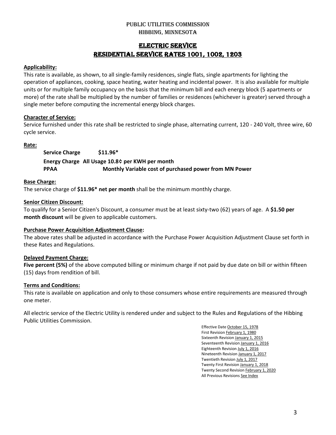# ELECTRIC SERVICE RESIDENTIAL SERVICE RATES 1001, 1002, 1203

### **Applicability:**

This rate is available, as shown, to all single-family residences, single flats, single apartments for lighting the operation of appliances, cooking, space heating, water heating and incidental power. It is also available for multiple units or for multiple family occupancy on the basis that the minimum bill and each energy block (5 apartments or more) of the rate shall be multiplied by the number of families or residences (whichever is greater) served through a single meter before computing the incremental energy block charges.

### **Character of Service:**

Service furnished under this rate shall be restricted to single phase, alternating current, 120 - 240 Volt, three wire, 60 cycle service.

### **Rate:**

**Service Charge \$11.96\* Energy Charge All Usage 10.8¢ per KWH per month PPAA Monthly Variable cost of purchased power from MN Power**

### **Base Charge:**

The service charge of **\$11.96\* net per month** shall be the minimum monthly charge.

### **Senior Citizen Discount:**

To qualify for a Senior Citizen's Discount, a consumer must be at least sixty-two (62) years of age. A **\$1.50 per month discount** will be given to applicable customers.

### **Purchase Power Acquisition Adjustment Clause:**

The above rates shall be adjusted in accordance with the Purchase Power Acquisition Adjustment Clause set forth in these Rates and Regulations.

### **Delayed Payment Charge:**

**Five percent (5%)** of the above computed billing or minimum charge if not paid by due date on bill or within fifteen (15) days from rendition of bill.

### **Terms and Conditions:**

This rate is available on application and only to those consumers whose entire requirements are measured through one meter.

All electric service of the Electric Utility is rendered under and subject to the Rules and Regulations of the Hibbing Public Utilities Commission.

> Effective Date October 15, 1978 First Revision February 1, 1980 Sixteenth Revision January 1, 2015 Seventeenth Revision January 1, 2016 Eighteenth Revision July 1, 2016 Nineteenth Revision January 1, 2017 Twentieth Revision July 1, 2017 Twenty First Revision January 1, 2018 Twenty Second Revision February 1, 2020 All Previous Revisions See Index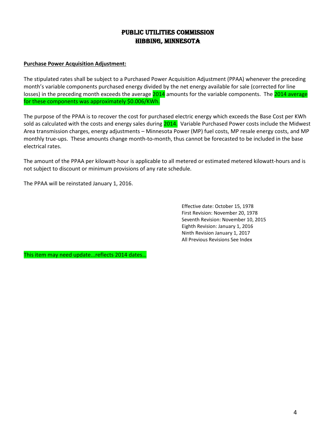# Public Utilities Commission Hibbing, Minnesota

### **Purchase Power Acquisition Adjustment:**

The stipulated rates shall be subject to a Purchased Power Acquisition Adjustment (PPAA) whenever the preceding month's variable components purchased energy divided by the net energy available for sale (corrected for line losses) in the preceding month exceeds the average 2014 amounts for the variable components. The 2014 average for these components was approximately \$0.006/KWh.

The purpose of the PPAA is to recover the cost for purchased electric energy which exceeds the Base Cost per KWh sold as calculated with the costs and energy sales during 2014. Variable Purchased Power costs include the Midwest Area transmission charges, energy adjustments – Minnesota Power (MP) fuel costs, MP resale energy costs, and MP monthly true-ups. These amounts change month-to-month, thus cannot be forecasted to be included in the base electrical rates.

The amount of the PPAA per kilowatt-hour is applicable to all metered or estimated metered kilowatt-hours and is not subject to discount or minimum provisions of any rate schedule.

The PPAA will be reinstated January 1, 2016.

Effective date: October 15, 1978 First Revision: November 20, 1978 Seventh Revision: November 10, 2015 Eighth Revision: January 1, 2016 Ninth Revision January 1, 2017 All Previous Revisions See Index

This item may need update...reflects 2014 dates…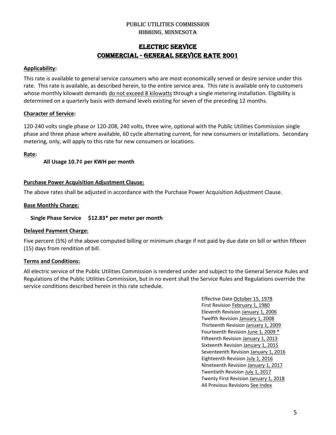# ELECTRIC SERVICE Commercial - GENERAL SERVICE RATE 2001

### **Applicability:**

This rate is available to general service consumers who are most economically served or desire service under this rate. This rate is available, as described herein, to the entire service area. This rate is available only to customers whose monthly kilowatt demands do not exceed 8 kilowatts through a single metering installation. Eligibility is determined on a quarterly basis with demand levels existing for seven of the preceding 12 months.

### **Character of Service:**

120-240 volts single phase or 120-208, 240 volts, three wire, optional with the Public Utilities Commission single phase and three phase where available, 60 cycle alternating current, for new consumers or installations. Secondary metering, only, will apply to this rate for new consumers or locations.

### **Rate:**

### **All Usage 10.7¢ per KWH per month**

### **Purchase Power Acquisition Adjustment Clause:**

The above rates shall be adjusted in accordance with the Purchase Power Acquisition Adjustment Clause.

# **Base Monthly Charge:**

### **Single Phase Service \$12.83\* per meter per month**

### **Delayed Payment Charge:**

Five percent (5%) of the above computed billing or minimum charge if not paid by due date on bill or within fifteen (15) days from rendition of bill.

### **Terms and Conditions:**

All electric service of the Public Utilities Commission is rendered under and subject to the General Service Rules and Regulations of the Public Utilities Commission, but in no event shall the Service Rules and Regulations override the service conditions described herein in this rate schedule.

> Effective Date October 15, 1978 First Revision February 1, 1980 Eleventh Revision January 1, 2006 Twelfth Revision January 1, 2008 Thirteenth Revision January 1, 2009 Fourteenth Revision June 1, 2009 \* Fifteenth Revision January 1, 2013 Sixteenth Revision January 1, 2015 Seventeenth Revision January 1, 2016 Eighteenth Revision July 1, 2016 Nineteenth Revision January 1, 2017 Twentieth Revision July 1, 2017 Twenty First Revision January 1, 2018 All Previous Revisions See Index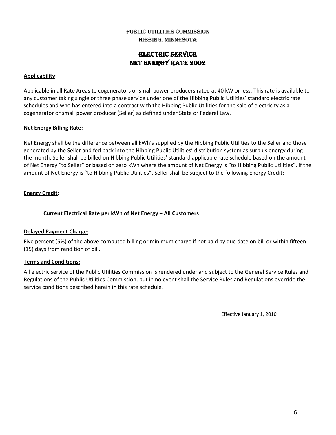# ELECTRIC SERVICE NET ENERGY RATE 2002

### **Applicability:**

Applicable in all Rate Areas to cogenerators or small power producers rated at 40 kW or less. This rate is available to any customer taking single or three phase service under one of the Hibbing Public Utilities' standard electric rate schedules and who has entered into a contract with the Hibbing Public Utilities for the sale of electricity as a cogenerator or small power producer (Seller) as defined under State or Federal Law.

### **Net Energy Billing Rate:**

Net Energy shall be the difference between all kWh's supplied by the Hibbing Public Utilities to the Seller and those generated by the Seller and fed back into the Hibbing Public Utilities' distribution system as surplus energy during the month. Seller shall be billed on Hibbing Public Utilities' standard applicable rate schedule based on the amount of Net Energy "to Seller" or based on zero kWh where the amount of Net Energy is "to Hibbing Public Utilities". If the amount of Net Energy is "to Hibbing Public Utilities", Seller shall be subject to the following Energy Credit:

### **Energy Credit:**

### **Current Electrical Rate per kWh of Net Energy – All Customers**

### **Delayed Payment Charge:**

Five percent (5%) of the above computed billing or minimum charge if not paid by due date on bill or within fifteen (15) days from rendition of bill.

### **Terms and Conditions:**

All electric service of the Public Utilities Commission is rendered under and subject to the General Service Rules and Regulations of the Public Utilities Commission, but in no event shall the Service Rules and Regulations override the service conditions described herein in this rate schedule.

Effective January 1, 2010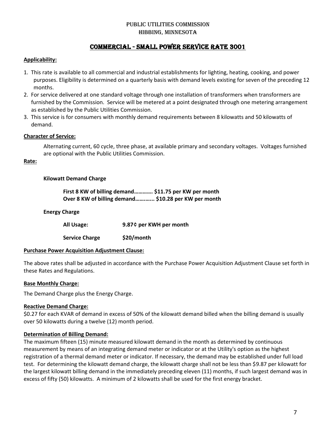# Commercial - SMALL POWER SERVICE RATE 3001

### **Applicability:**

- 1. This rate is available to all commercial and industrial establishments for lighting, heating, cooking, and power purposes. Eligibility is determined on a quarterly basis with demand levels existing for seven of the preceding 12 months.
- 2. For service delivered at one standard voltage through one installation of transformers when transformers are furnished by the Commission. Service will be metered at a point designated through one metering arrangement as established by the Public Utilities Commission.
- 3. This service is for consumers with monthly demand requirements between 8 kilowatts and 50 kilowatts of demand.

### **Character of Service:**

Alternating current, 60 cycle, three phase, at available primary and secondary voltages. Voltages furnished are optional with the Public Utilities Commission.

### **Rate:**

### **Kilowatt Demand Charge**

**First 8 KW of billing demand…………. \$11.75 per KW per month Over 8 KW of billing demand…….…... \$10.28 per KW per month**

### **Energy Charge**

**All Usage: 9.87¢ per KWH per month**

**Service Charge \$20/month**

### **Purchase Power Acquisition Adjustment Clause:**

The above rates shall be adjusted in accordance with the Purchase Power Acquisition Adjustment Clause set forth in these Rates and Regulations.

### **Base Monthly Charge:**

The Demand Charge plus the Energy Charge.

### **Reactive Demand Charge:**

\$0.27 for each KVAR of demand in excess of 50% of the kilowatt demand billed when the billing demand is usually over 50 kilowatts during a twelve (12) month period.

### **Determination of Billing Demand:**

The maximum fifteen (15) minute measured kilowatt demand in the month as determined by continuous measurement by means of an integrating demand meter or indicator or at the Utility's option as the highest registration of a thermal demand meter or indicator. If necessary, the demand may be established under full load test. For determining the kilowatt demand charge, the kilowatt charge shall not be less than \$9.87 per kilowatt for the largest kilowatt billing demand in the immediately preceding eleven (11) months, if such largest demand was in excess of fifty (50) kilowatts. A minimum of 2 kilowatts shall be used for the first energy bracket.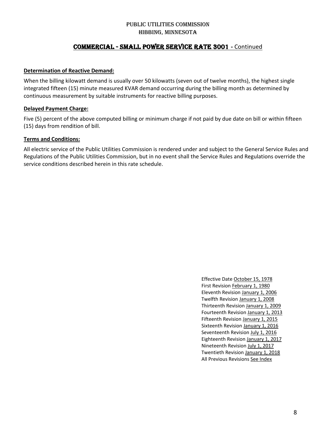# Commercial - SMALL POWER SERVICE RATE 3001 **-** Continued

### **Determination of Reactive Demand:**

When the billing kilowatt demand is usually over 50 kilowatts (seven out of twelve months), the highest single integrated fifteen (15) minute measured KVAR demand occurring during the billing month as determined by continuous measurement by suitable instruments for reactive billing purposes.

### **Delayed Payment Charge:**

Five (5) percent of the above computed billing or minimum charge if not paid by due date on bill or within fifteen (15) days from rendition of bill.

### **Terms and Conditions:**

All electric service of the Public Utilities Commission is rendered under and subject to the General Service Rules and Regulations of the Public Utilities Commission, but in no event shall the Service Rules and Regulations override the service conditions described herein in this rate schedule.

> Effective Date October 15, 1978 First Revision February 1, 1980 Eleventh Revision January 1, 2006 Twelfth Revision January 1, 2008 Thirteenth Revision January 1, 2009 Fourteenth Revision January 1, 2013 Fifteenth Revision January 1, 2015 Sixteenth Revision January 1, 2016 Seventeenth Revision July 1, 2016 Eighteenth Revision January 1, 2017 Nineteenth Revision July 1, 2017 Twentieth Revision January 1, 2018 All Previous Revisions See Index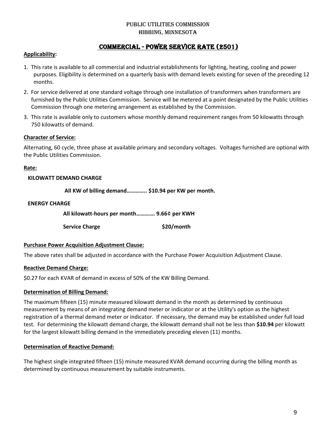# PUBLIC UTILITIES COMMISSION Hibbing, Minnesota

# Commercial - POWER SERVICE RATE (2501)

### **Applicability:**

- 1. This rate is available to all commercial and industrial establishments for lighting, heating, cooling and power purposes. Eligibility is determined on a quarterly basis with demand levels existing for seven of the preceding 12 months.
- 2. For service delivered at one standard voltage through one installation of transformers when transformers are furnished by the Public Utilities Commission. Service will be metered at a point designated by the Public Utilities Commission through one metering arrangement as established by the Commission.
- 3. This rate is available only to customers whose monthly demand requirement ranges from 50 kilowatts through 750 kilowatts of demand.

### **Character of Service:**

Alternating, 60 cycle, three phase at available primary and secondary voltages. Voltages furnished are optional with the Public Utilities Commission.

### **Rate:**

### **KILOWATT DEMAND CHARGE**

 **All KW of billing demand………….. \$10.94 per KW per month.**

### **ENERGY CHARGE**

**All kilowatt-hours per month…………. 9.66¢ per KWH**

**Service Charge \$20/month**

### **Purchase Power Acquisition Adjustment Clause:**

The above rates shall be adjusted in accordance with the Purchase Power Acquisition Adjustment Clause.

### **Reactive Demand Charge:**

\$0.27 for each KVAR of demand in excess of 50% of the KW Billing Demand.

### **Determination of Billing Demand:**

The maximum fifteen (15) minute measured kilowatt demand in the month as determined by continuous measurement by means of an integrating demand meter or indicator or at the Utility's option as the highest registration of a thermal demand meter or indicator. If necessary, the demand may be established under full load test. For determining the kilowatt demand charge, the kilowatt demand shall not be less than **\$10.94** per kilowatt for the largest kilowatt billing demand in the immediately preceding eleven (11) months.

### **Determination of Reactive Demand:**

The highest single integrated fifteen (15) minute measured KVAR demand occurring during the billing month as determined by continuous measurement by suitable instruments.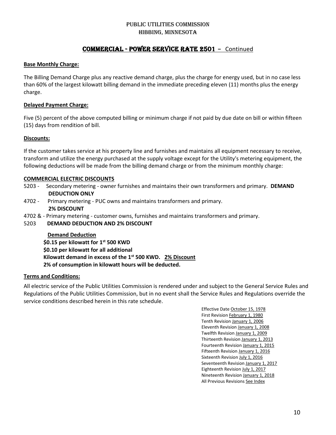# Commercial - POWER SERVICE RATE 2501 **-** Continued

### **Base Monthly Charge:**

The Billing Demand Charge plus any reactive demand charge, plus the charge for energy used, but in no case less than 60% of the largest kilowatt billing demand in the immediate preceding eleven (11) months plus the energy charge.

### **Delayed Payment Charge:**

Five (5) percent of the above computed billing or minimum charge if not paid by due date on bill or within fifteen (15) days from rendition of bill.

### **Discounts:**

If the customer takes service at his property line and furnishes and maintains all equipment necessary to receive, transform and utilize the energy purchased at the supply voltage except for the Utility's metering equipment, the following deductions will be made from the billing demand charge or from the minimum monthly charge:

### **COMMERCIAL ELECTRIC DISCOUNTS**

- 5203 Secondary metering owner furnishes and maintains their own transformers and primary. **DEMAND DEDUCTION ONLY**
- 4702 Primary metering PUC owns and maintains transformers and primary. **2% DISCOUNT**
- 4702 & Primary metering customer owns, furnishes and maintains transformers and primary.

### 5203 **DEMAND DEDUCTION AND 2% DISCOUNT**

 **Demand Deduction \$0.15 per kilowatt for 1 st 500 KWD \$0.10 per kilowatt for all additional Kilowatt demand in excess of the 1st 500 KWD. 2% Discount 2% of consumption in kilowatt hours will be deducted.**

### **Terms and Conditions:**

All electric service of the Public Utilities Commission is rendered under and subject to the General Service Rules and Regulations of the Public Utilities Commission, but in no event shall the Service Rules and Regulations override the service conditions described herein in this rate schedule.

> Effective Date October 15, 1978 First Revision February 1, 1980 Tenth Revision January 1, 2006 Eleventh Revision January 1, 2008 Twelfth Revision January 1, 2009 Thirteenth Revision January 1, 2013 Fourteenth Revision January 1, 2015 Fifteenth Revision January 1, 2016 Sixteenth Revision July 1, 2016 Seventeenth Revision January 1, 2017 Eighteenth Revision July 1, 2017 Nineteenth Revision January 1, 2018 All Previous Revisions See Index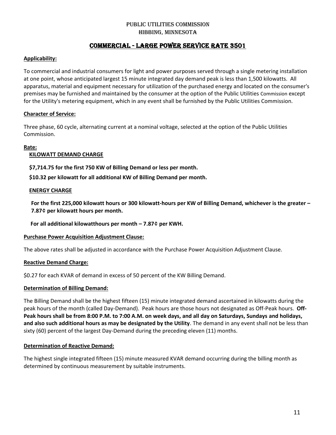# Commercial - LARGE POWER SERVICE RATE 3501

### **Applicability:**

To commercial and industrial consumers for light and power purposes served through a single metering installation at one point, whose anticipated largest 15 minute integrated day demand peak is less than 1,500 kilowatts. All apparatus, material and equipment necessary for utilization of the purchased energy and located on the consumer's premises may be furnished and maintained by the consumer at the option of the Public Utilities Commission except for the Utility's metering equipment, which in any event shall be furnished by the Public Utilities Commission.

### **Character of Service:**

Three phase, 60 cycle, alternating current at a nominal voltage, selected at the option of the Public Utilities Commission.

### **Rate:**

### **KILOWATT DEMAND CHARGE**

 **\$7,714.75 for the first 750 KW of Billing Demand or less per month.**

 **\$10.32 per kilowatt for all additional KW of Billing Demand per month.**

### **ENERGY CHARGE**

**For the first 225,000 kilowatt hours or 300 kilowatt-hours per KW of Billing Demand, whichever is the greater – 7.87¢ per kilowatt hours per month.**

 **For all additional kilowatthours per month – 7.87¢ per KWH.**

### **Purchase Power Acquisition Adjustment Clause:**

The above rates shall be adjusted in accordance with the Purchase Power Acquisition Adjustment Clause.

### **Reactive Demand Charge:**

\$0.27 for each KVAR of demand in excess of 50 percent of the KW Billing Demand.

### **Determination of Billing Demand:**

The Billing Demand shall be the highest fifteen (15) minute integrated demand ascertained in kilowatts during the peak hours of the month (called Day-Demand). Peak hours are those hours not designated as Off-Peak hours. **Off-Peak hours shall be from 8:00 P.M. to 7:00 A.M. on week days, and all day on Saturdays, Sundays and holidays, and also such additional hours as may be designated by the Utility**. The demand in any event shall not be less than sixty (60) percent of the largest Day-Demand during the preceding eleven (11) months.

### **Determination of Reactive Demand:**

The highest single integrated fifteen (15) minute measured KVAR demand occurring during the billing month as determined by continuous measurement by suitable instruments.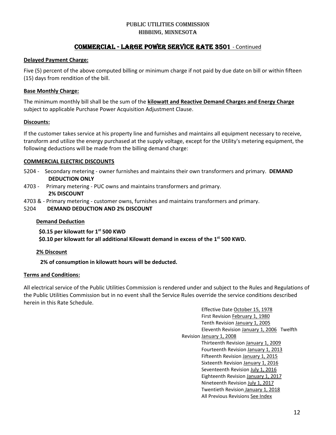# Commercial - LARGE POWER SERVICE RATE 3501 - Continued

### **Delayed Payment Charge:**

Five (5) percent of the above computed billing or minimum charge if not paid by due date on bill or within fifteen (15) days from rendition of the bill.

### **Base Monthly Charge:**

The minimum monthly bill shall be the sum of the **kilowatt and Reactive Demand Charges and Energy Charge** subject to applicable Purchase Power Acquisition Adjustment Clause.

### **Discounts:**

If the customer takes service at his property line and furnishes and maintains all equipment necessary to receive, transform and utilize the energy purchased at the supply voltage, except for the Utility's metering equipment, the following deductions will be made from the billing demand charge:

### **COMMERCIAL ELECTRIC DISCOUNTS**

- 5204 Secondary metering owner furnishes and maintains their own transformers and primary. **DEMAND DEDUCTION ONLY**
- 4703 Primary metering PUC owns and maintains transformers and primary. **2% DISCOUNT**
- 4703 & Primary metering customer owns, furnishes and maintains transformers and primary.
- 5204 **DEMAND DEDUCTION AND 2% DISCOUNT**

### **Demand Deduction**

 **\$0.15 per kilowatt for 1st 500 KWD**

\$0.10 per kilowatt for all additional Kilowatt demand in excess of the 1<sup>st</sup> 500 KWD.

### **2% Discount**

**2% of consumption in kilowatt hours will be deducted.**

### **Terms and Conditions:**

All electrical service of the Public Utilities Commission is rendered under and subject to the Rules and Regulations of the Public Utilities Commission but in no event shall the Service Rules override the service conditions described herein in this Rate Schedule.

> Effective Date October 15, 1978 First Revision February 1, 1980 Tenth Revision January 1, 2005 Eleventh Revision January 1, 2006 Twelfth Revision January 1, 2008 Thirteenth Revision January 1, 2009 Fourteenth Revision January 1, 2013 Fifteenth Revision January 1, 2015 Sixteenth Revision January 1, 2016 Seventeenth Revision July 1, 2016 Eighteenth Revision January 1, 2017 Nineteenth Revision July 1, 2017 Twentieth Revision January 1, 2018 All Previous Revisions See Index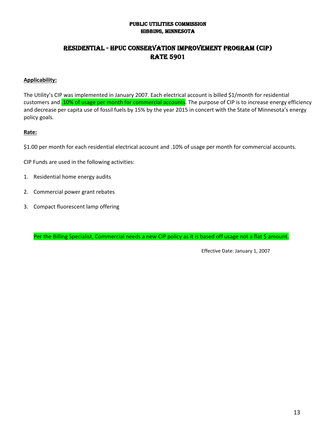# Residential - HPUC Conservation Improvement Program (CIP) **RATE 5901**

# **Applicability:**

The Utility's CIP was implemented in January 2007. Each electrical account is billed \$1/month for residential customers and .10% of usage per month for commercial accounts. The purpose of CIP is to increase energy efficiency and decrease per capita use of fossil fuels by 15% by the year 2015 in concert with the State of Minnesota's energy policy goals.

### **Rate:**

\$1.00 per month for each residential electrical account and .10% of usage per month for commercial accounts.

CIP Funds are used in the following activities:

- 1. Residential home energy audits
- 2. Commercial power grant rebates
- 3. Compact fluorescent lamp offering

Per the Billing Specialist, Commercial needs a new CIP policy as it is based off usage not a flat \$ amount.

Effective Date: January 1, 2007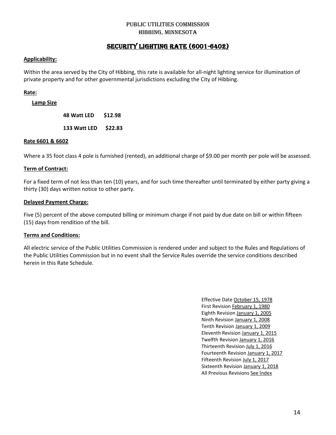# SECURITY LIGHTING RATE (6001-6402)

### **Applicability:**

Within the area served by the City of Hibbing, this rate is available for all-night lighting service for illumination of private property and for other governmental jurisdictions excluding the City of Hibbing.

### **Rate:**

**Lamp Size**

**48 Watt LED \$12.98**

**133 Watt LED \$22.83**

### **Rate 6601 & 6602**

Where a 35 foot class 4 pole is furnished (rented), an additional charge of \$9.00 per month per pole will be assessed.

### **Term of Contract:**

For a fixed term of not less than ten (10) years, and for such time thereafter until terminated by either party giving a thirty (30) days written notice to other party.

### **Delayed Payment Charge:**

Five (5) percent of the above computed billing or minimum charge if not paid by due date on bill or within fifteen (15) days from rendition of the bill.

### **Terms and Conditions:**

All electric service of the Public Utilities Commission is rendered under and subject to the Rules and Regulations of the Public Utilities Commission but in no event shall the Service Rules override the service conditions described herein in this Rate Schedule.

> Effective Date October 15, 1978 First Revision February 1, 1980 Eighth Revision January 1, 2005 Ninth Revision January 1, 2008 Tenth Revision January 1, 2009 Eleventh Revision January 1, 2015 Twelfth Revision January 1, 2016 Thirteenth Revision July 1, 2016 Fourteenth Revision January 1, 2017 Fifteenth Revision July 1, 2017 Sixteenth Revision January 1, 2018 All Previous Revisions See Index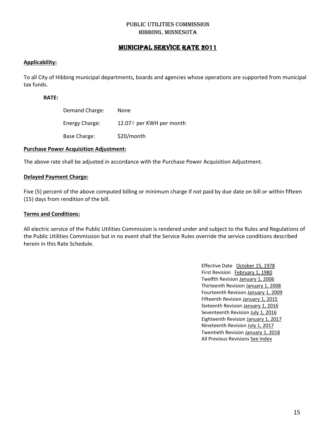# MUNICIPAL SERVICE RATE 2011

### **Applicability:**

To all City of Hibbing municipal departments, boards and agencies whose operations are supported from municipal tax funds.

### **RATE:**

| Demand Charge: | <b>None</b>              |
|----------------|--------------------------|
| Energy Charge: | 12.07¢ per KWH per month |
| Base Charge:   | \$20/month               |

### **Purchase Power Acquisition Adjustment:**

The above rate shall be adjusted in accordance with the Purchase Power Acquisition Adjustment.

### **Delayed Payment Charge:**

Five (5) percent of the above computed billing or minimum charge if not paid by due date on bill or within fifteen (15) days from rendition of the bill.

### **Terms and Conditions:**

All electric service of the Public Utilities Commission is rendered under and subject to the Rules and Regulations of the Public Utilities Commission but in no event shall the Service Rules override the service conditions described herein in this Rate Schedule.

> Effective Date October 15, 1978 First Revision February 1, 1980 Twelfth Revision January 1, 2006 Thirteenth Revision January 1, 2008 Fourteenth Revision January 1, 2009 Fifteenth Revision January 1, 2015 Sixteenth Revision January 1, 2016 Seventeenth Revision July 1, 2016 Eighteenth Revision January 1, 2017 Nineteenth Revision July 1, 2017 Twentieth Revision January 1, 2018 All Previous Revisions See Index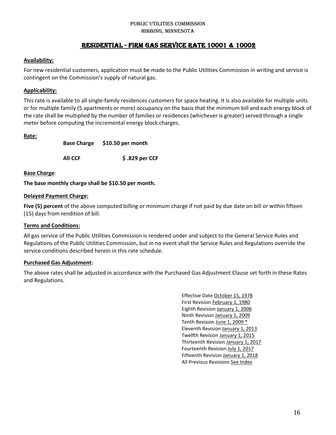### PUBLIC UTILITIES COMMISSION Hibbing, MINNESOTA

# Residential - FIRM GAS SERVICE RATE 10001 & 10002

### **Availability:**

For new residential customers, application must be made to the Public Utilities Commission in writing and service is contingent on the Commission's supply of natural gas.

### **Applicability:**

This rate is available to all single-family residences customers for space heating. It is also available for multiple units or for multiple family (5 apartments or more) occupancy on the basis that the minimum bill and each energy block of the rate shall be multiplied by the number of families or residences (whichever is greater) served through a single meter before computing the incremental energy block charges.

### **Rate:**

**Base Charge \$10.50 per month**

**All CCF \$ .829 per CCF**

### **Base Charge**:

**The base monthly charge shall be \$10.50 per month.**

### **Delayed Payment Charge:**

**Five (5) percent** of the above computed billing or minimum charge if not paid by due date on bill or within fifteen (15) days from rendition of bill.

### **Terms and Conditions:**

All gas service of the Public Utilities Commission is rendered under and subject to the General Service Rules and Regulations of the Public Utilities Commission, but in no event shall the Service Rules and Regulations override the service conditions described herein in this rate schedule.

### **Purchased Gas Adjustment:**

The above rates shall be adjusted in accordance with the Purchased Gas Adjustment Clause set forth in these Rates and Regulations.

> Effective Date October 15, 1978 First Revision February 1, 1980 Eighth Revision January 1, 2006 Ninth Revision January 1, 2009 Tenth Revision June 1, 2009 \* Eleventh Revision January 1, 2013 Twelfth Revision January 1, 2015 Thirteenth Revision January 1, 2017 Fourteenth Revision July 1, 2017 Fifteenth Revision January 1, 2018 All Previous Revisions See Index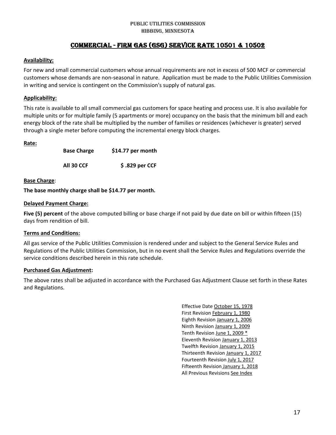### PUBLIC UTILITIES COMMISSION Hibbing, MINNESOTA

# Commercial - FIRM GAS (GSG) SERVICE RATE 10501 & 10502

### **Availability:**

For new and small commercial customers whose annual requirements are not in excess of 500 MCF or commercial customers whose demands are non-seasonal in nature. Application must be made to the Public Utilities Commission in writing and service is contingent on the Commission's supply of natural gas.

### **Applicability:**

This rate is available to all small commercial gas customers for space heating and process use. It is also available for multiple units or for multiple family (5 apartments or more) occupancy on the basis that the minimum bill and each energy block of the rate shall be multiplied by the number of families or residences (whichever is greater) served through a single meter before computing the incremental energy block charges.

### **Rate:**

| <b>Base Charge</b> | \$14.77 per month |
|--------------------|-------------------|
| All 30 CCF         | \$.829 per CCF    |

### **Base Charge**:

**The base monthly charge shall be \$14.77 per month.**

### **Delayed Payment Charge:**

**Five (5) percent** of the above computed billing or base charge if not paid by due date on bill or within fifteen (15) days from rendition of bill.

### **Terms and Conditions:**

All gas service of the Public Utilities Commission is rendered under and subject to the General Service Rules and Regulations of the Public Utilities Commission, but in no event shall the Service Rules and Regulations override the service conditions described herein in this rate schedule.

### **Purchased Gas Adjustment:**

The above rates shall be adjusted in accordance with the Purchased Gas Adjustment Clause set forth in these Rates and Regulations.

> Effective Date October 15, 1978 First Revision February 1, 1980 Eighth Revision January 1, 2006 Ninth Revision January 1, 2009 Tenth Revision June 1, 2009 \* Eleventh Revision January 1, 2013 Twelfth Revision January 1, 2015 Thirteenth Revision January 1, 2017 Fourteenth Revision July 1, 2017 Fifteenth Revision January 1, 2018 All Previous Revisions See Index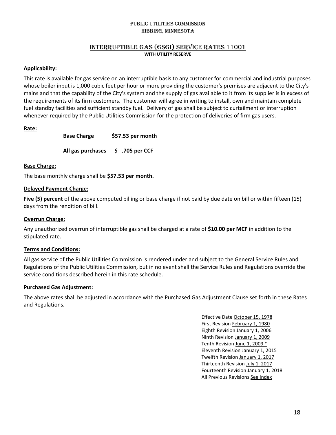### INTERRUPTIBLE GAS (GSGI) SERVICE RATES 11001 **WITH UTILITY RESERVE**

### **Applicability:**

This rate is available for gas service on an interruptible basis to any customer for commercial and industrial purposes whose boiler input is 1,000 cubic feet per hour or more providing the customer's premises are adjacent to the City's mains and that the capability of the City's system and the supply of gas available to it from its supplier is in excess of the requirements of its firm customers. The customer will agree in writing to install, own and maintain complete fuel standby facilities and sufficient standby fuel. Delivery of gas shall be subject to curtailment or interruption whenever required by the Public Utilities Commission for the protection of deliveries of firm gas users.

### **Rate:**

**Base Charge \$57.53 per month**

**All gas purchases \$ .705 per CCF**

### **Base Charge:**

The base monthly charge shall be **\$57.53 per month.**

### **Delayed Payment Charge:**

**Five (5) percent** of the above computed billing or base charge if not paid by due date on bill or within fifteen (15) days from the rendition of bill.

### **Overrun Charge:**

Any unauthorized overrun of interruptible gas shall be charged at a rate of **\$10.00 per MCF** in addition to the stipulated rate.

### **Terms and Conditions:**

All gas service of the Public Utilities Commission is rendered under and subject to the General Service Rules and Regulations of the Public Utilities Commission, but in no event shall the Service Rules and Regulations override the service conditions described herein in this rate schedule.

### **Purchased Gas Adjustment:**

The above rates shall be adjusted in accordance with the Purchased Gas Adjustment Clause set forth in these Rates and Regulations.

> Effective Date October 15, 1978 First Revision February 1, 1980 Eighth Revision January 1, 2006 Ninth Revision January 1, 2009 Tenth Revision June 1, 2009 \* Eleventh Revision January 1, 2015 Twelfth Revision January 1, 2017 Thirteenth Revision July 1, 2017 Fourteenth Revision January 1, 2018 All Previous Revisions See Index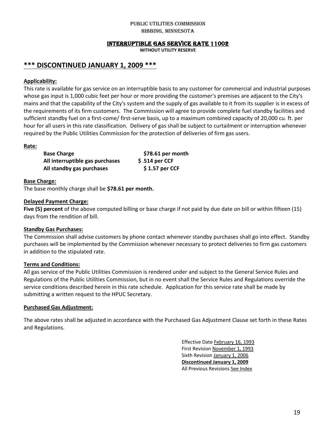### INTERRUPTIBLE GAS SERVICE RATE 11002

**WITHOUT UTILITY RESERVE** 

# **\*\*\* DISCONTINUED JANUARY 1, 2009 \*\*\***

### **Applicability:**

This rate is available for gas service on an interruptible basis to any customer for commercial and industrial purposes whose gas input is 1,000 cubic feet per hour or more providing the customer's premises are adjacent to the City's mains and that the capability of the City's system and the supply of gas available to it from its supplier is in excess of the requirements of its firm customers. The Commission will agree to provide complete fuel standby facilities and sufficient standby fuel on a first-come/ first-serve basis, up to a maximum combined capacity of 20,000 cu. ft. per hour for all users in this rate classification. Delivery of gas shall be subject to curtailment or interruption whenever required by the Public Utilities Commission for the protection of deliveries of firm gas users.

### **Rate:**

| <b>Base Charge</b>              | \$78.61 per month |
|---------------------------------|-------------------|
| All interruptible gas purchases | $$.514$ per CCF   |
| All standby gas purchases       | $$1.57$ per CCF   |

### **Base Charge:**

The base monthly charge shall be **\$78.61 per month.**

### **Delayed Payment Charge:**

**Five (5) percent** of the above computed billing or base charge if not paid by due date on bill or within fifteen (15) days from the rendition of bill.

### **Standby Gas Purchases:**

The Commission shall advise customers by phone contact whenever standby purchases shall go into effect. Standby purchases will be implemented by the Commission whenever necessary to protect deliveries to firm gas customers in addition to the stipulated rate.

### **Terms and Conditions:**

All gas service of the Public Utilities Commission is rendered under and subject to the General Service Rules and Regulations of the Public Utilities Commission, but in no event shall the Service Rules and Regulations override the service conditions described herein in this rate schedule. Application for this service rate shall be made by submitting a written request to the HPUC Secretary.

### **Purchased Gas Adjustment:**

The above rates shall be adjusted in accordance with the Purchased Gas Adjustment Clause set forth in these Rates and Regulations.

> Effective Date February 16, 1993 First Revision November 1, 1993 Sixth Revision January 1, 2006 **Discontinued January 1, 2009** All Previous Revisions See Index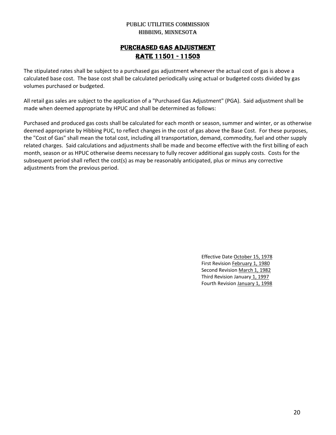# PURCHASED GAS ADJUSTMENT RATE 11501 - 11503

The stipulated rates shall be subject to a purchased gas adjustment whenever the actual cost of gas is above a calculated base cost. The base cost shall be calculated periodically using actual or budgeted costs divided by gas volumes purchased or budgeted.

All retail gas sales are subject to the application of a "Purchased Gas Adjustment" (PGA). Said adjustment shall be made when deemed appropriate by HPUC and shall be determined as follows:

Purchased and produced gas costs shall be calculated for each month or season, summer and winter, or as otherwise deemed appropriate by Hibbing PUC, to reflect changes in the cost of gas above the Base Cost. For these purposes, the "Cost of Gas" shall mean the total cost, including all transportation, demand, commodity, fuel and other supply related charges. Said calculations and adjustments shall be made and become effective with the first billing of each month, season or as HPUC otherwise deems necessary to fully recover additional gas supply costs. Costs for the subsequent period shall reflect the cost(s) as may be reasonably anticipated, plus or minus any corrective adjustments from the previous period.

> Effective Date October 15, 1978 First Revision February 1, 1980 Second Revision March 1, 1982 Third Revision January 1, 1997 Fourth Revision January 1, 1998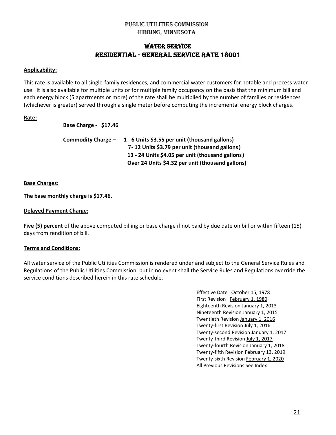# WATER SERVICE RESIDENTIAL - GENERAL SERVICE RATE 18001

### **Applicability:**

This rate is available to all single-family residences, and commercial water customers for potable and process water use. It is also available for multiple units or for multiple family occupancy on the basis that the minimum bill and each energy block (5 apartments or more) of the rate shall be multiplied by the number of families or residences (whichever is greater) served through a single meter before computing the incremental energy block charges.

### **Rate:**

**Base Charge - \$17.46**

| Commodity Charge - | 1 - 6 Units \$3.55 per unit (thousand gallons)   |
|--------------------|--------------------------------------------------|
|                    | 7-12 Units \$3.79 per unit (thousand gallons)    |
|                    | 13 - 24 Units \$4.05 per unit (thousand gallons) |
|                    | Over 24 Units \$4.32 per unit (thousand gallons) |

### **Base Charges:**

### **The base monthly charge is \$17.46.**

### **Delayed Payment Charge:**

**Five (5) percent** of the above computed billing or base charge if not paid by due date on bill or within fifteen (15) days from rendition of bill.

### **Terms and Conditions:**

All water service of the Public Utilities Commission is rendered under and subject to the General Service Rules and Regulations of the Public Utilities Commission, but in no event shall the Service Rules and Regulations override the service conditions described herein in this rate schedule.

> Effective Date October 15, 1978 First Revision February 1, 1980 Eighteenth Revision January 1, 2013 Nineteenth Revision January 1, 2015 Twentieth Revision January 1, 2016 Twenty-first Revision July 1, 2016 Twenty-second Revision January 1, 2017 Twenty-third Revision July 1, 2017 Twenty-fourth Revision January 1, 2018 Twenty-fifth Revision February 13, 2019 Twenty-sixth Revision February 1, 2020 All Previous Revisions See Index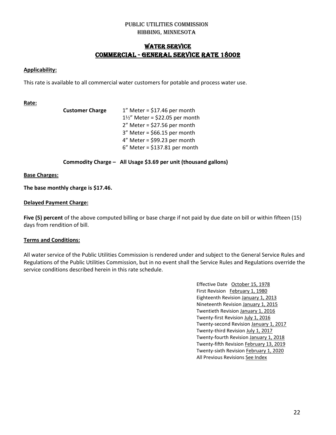# WATER SERVICE COMMERCIAL - GENERAL SERVICE RATE 18002

### **Applicability:**

This rate is available to all commercial water customers for potable and process water use.

### **Rate:**

| <b>Customer Charge</b> | $1''$ Meter = \$17.46 per month          |
|------------------------|------------------------------------------|
|                        | $1\frac{1}{2}$ Meter = \$22.05 per month |
|                        | $2''$ Meter = \$27.56 per month          |
|                        | $3''$ Meter = \$66.15 per month          |
|                        | $4''$ Meter = \$99.23 per month          |
|                        | $6''$ Meter = \$137.81 per month         |
|                        |                                          |

**Commodity Charge – All Usage \$3.69 per unit (thousand gallons)**

### **Base Charges:**

**The base monthly charge is \$17.46.**

### **Delayed Payment Charge:**

**Five (5) percent** of the above computed billing or base charge if not paid by due date on bill or within fifteen (15) days from rendition of bill.

### **Terms and Conditions:**

All water service of the Public Utilities Commission is rendered under and subject to the General Service Rules and Regulations of the Public Utilities Commission, but in no event shall the Service Rules and Regulations override the service conditions described herein in this rate schedule.

> Effective Date October 15, 1978 First Revision February 1, 1980 Eighteenth Revision January 1, 2013 Nineteenth Revision January 1, 2015 Twentieth Revision January 1, 2016 Twenty-first Revision July 1, 2016 Twenty-second Revision January 1, 2017 Twenty-third Revision July 1, 2017 Twenty-fourth Revision January 1, 2018 Twenty-fifth Revision February 13, 2019 Twenty-sixth Revision February 1, 2020 All Previous Revisions See Index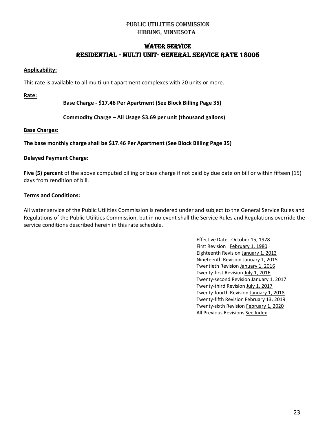# WATER SERVICE Residential - Multi Unit- GENERAL SERVICE RATE 18005

### **Applicability:**

This rate is available to all multi-unit apartment complexes with 20 units or more.

**Rate:**

**Base Charge - \$17.46 Per Apartment (See Block Billing Page 35)**

**Commodity Charge – All Usage \$3.69 per unit (thousand gallons)**

### **Base Charges:**

**The base monthly charge shall be \$17.46 Per Apartment (See Block Billing Page 35)**

### **Delayed Payment Charge:**

**Five (5) percent** of the above computed billing or base charge if not paid by due date on bill or within fifteen (15) days from rendition of bill.

### **Terms and Conditions:**

All water service of the Public Utilities Commission is rendered under and subject to the General Service Rules and Regulations of the Public Utilities Commission, but in no event shall the Service Rules and Regulations override the service conditions described herein in this rate schedule.

> Effective Date October 15, 1978 First Revision February 1, 1980 Eighteenth Revision January 1, 2013 Nineteenth Revision January 1, 2015 Twentieth Revision January 1, 2016 Twenty-first Revision July 1, 2016 Twenty-second Revision January 1, 2017 Twenty-third Revision July 1, 2017 Twenty-fourth Revision January 1, 2018 Twenty-fifth Revision February 13, 2019 Twenty-sixth Revision February 1, 2020 All Previous Revisions See Index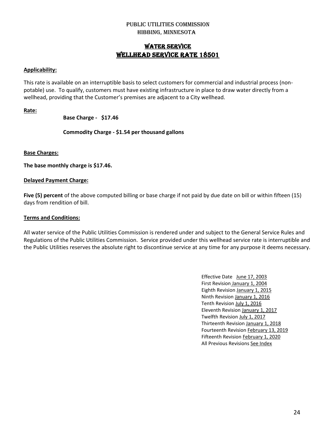# WATER SERVICE WELLHEAD SERVICE RATE 18501

### **Applicability:**

This rate is available on an interruptible basis to select customers for commercial and industrial process (nonpotable) use. To qualify, customers must have existing infrastructure in place to draw water directly from a wellhead, providing that the Customer's premises are adjacent to a City wellhead.

### **Rate:**

### **Base Charge - \$17.46**

**Commodity Charge - \$1.54 per thousand gallons**

### **Base Charges:**

**The base monthly charge is \$17.46.**

### **Delayed Payment Charge:**

**Five (5) percent** of the above computed billing or base charge if not paid by due date on bill or within fifteen (15) days from rendition of bill.

### **Terms and Conditions:**

All water service of the Public Utilities Commission is rendered under and subject to the General Service Rules and Regulations of the Public Utilities Commission. Service provided under this wellhead service rate is interruptible and the Public Utilities reserves the absolute right to discontinue service at any time for any purpose it deems necessary.

> Effective Date June 17, 2003 First Revision January 1, 2004 Eighth Revision January 1, 2015 Ninth Revision January 1, 2016 Tenth Revision July 1, 2016 Eleventh Revision January 1, 2017 Twelfth Revision July 1, 2017 Thirteenth Revision January 1, 2018 Fourteenth Revision February 13, 2019 Fifteenth Revision February 1, 2020 All Previous Revisions See Index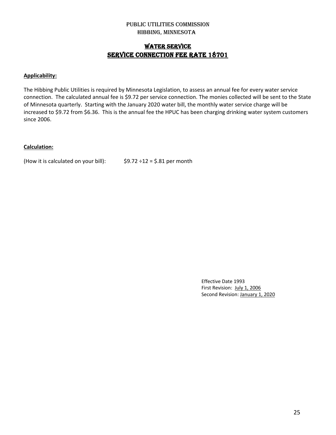# WATER SERVICE SERVICE CONNECTION FEE RATE 18701

### **Applicability:**

The Hibbing Public Utilities is required by Minnesota Legislation, to assess an annual fee for every water service connection. The calculated annual fee is \$9.72 per service connection. The monies collected will be sent to the State of Minnesota quarterly. Starting with the January 2020 water bill, the monthly water service charge will be increased to \$9.72 from \$6.36. This is the annual fee the HPUC has been charging drinking water system customers since 2006.

### **Calculation:**

(How it is calculated on your bill):  $$9.72 \div 12 = $.81$  per month

Effective Date 1993 First Revision: July 1, 2006 Second Revision: January 1, 2020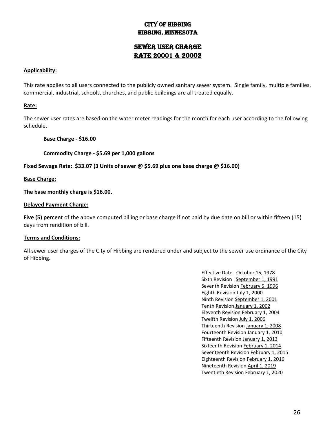# City of Hibbing Hibbing, Minnesota

# Sewer User Charge RATE 20001 & 20002

### **Applicability:**

This rate applies to all users connected to the publicly owned sanitary sewer system. Single family, multiple families, commercial, industrial, schools, churches, and public buildings are all treated equally.

### **Rate:**

The sewer user rates are based on the water meter readings for the month for each user according to the following schedule.

### **Base Charge - \$16.00**

**Commodity Charge - \$5.69 per 1,000 gallons**

**Fixed Sewage Rate: \$33.07 (3 Units of sewer @ \$5.69 plus one base charge @ \$16.00)**

**Base Charge:**

**The base monthly charge is \$16.00.**

### **Delayed Payment Charge:**

**Five (5) percent** of the above computed billing or base charge if not paid by due date on bill or within fifteen (15) days from rendition of bill.

### **Terms and Conditions:**

All sewer user charges of the City of Hibbing are rendered under and subject to the sewer use ordinance of the City of Hibbing.

> Effective Date October 15, 1978 Sixth Revision September 1, 1991 Seventh Revision February 5, 1996 Eighth Revision July 1, 2000 Ninth Revision September 1, 2001 Tenth Revision January 1, 2002 Eleventh Revision February 1, 2004 Twelfth Revision July 1, 2006 Thirteenth Revision January 1, 2008 Fourteenth Revision January 1, 2010 Fifteenth Revision January 1, 2013 Sixteenth Revision February 1, 2014 Seventeenth Revision February 1, 2015 Eighteenth Revision February 1, 2016 Nineteenth Revision April 1, 2019 Twentieth Revision February 1, 2020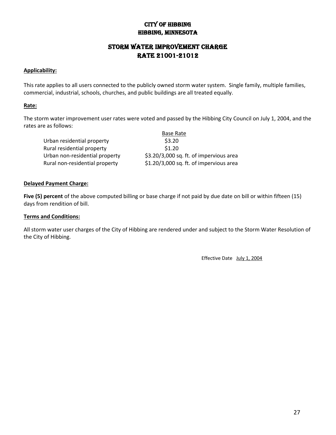# City of Hibbing Hibbing, Minnesota

# Storm Water Improvement Charge RATE 21001-21012

### **Applicability:**

This rate applies to all users connected to the publicly owned storm water system. Single family, multiple families, commercial, industrial, schools, churches, and public buildings are all treated equally.

### **Rate:**

The storm water improvement user rates were voted and passed by the Hibbing City Council on July 1, 2004, and the rates are as follows:

|                                | <b>Base Rate</b>                        |
|--------------------------------|-----------------------------------------|
| Urban residential property     | \$3.20                                  |
| Rural residential property     | \$1.20                                  |
| Urban non-residential property | \$3.20/3,000 sq. ft. of impervious area |
| Rural non-residential property | \$1.20/3,000 sq. ft. of impervious area |

### **Delayed Payment Charge:**

**Five (5) percent** of the above computed billing or base charge if not paid by due date on bill or within fifteen (15) days from rendition of bill.

### **Terms and Conditions:**

All storm water user charges of the City of Hibbing are rendered under and subject to the Storm Water Resolution of the City of Hibbing.

Effective Date July 1, 2004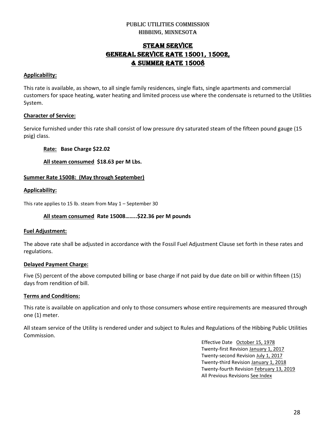# STEAM SERVICE GENERAL SERVICE RATE 15001, 15002, & Summer rate 15008

### **Applicability:**

This rate is available, as shown, to all single family residences, single flats, single apartments and commercial customers for space heating, water heating and limited process use where the condensate is returned to the Utilities System.

# **Character of Service:**

Service furnished under this rate shall consist of low pressure dry saturated steam of the fifteen pound gauge (15 psig) class.

**Rate: Base Charge \$22.02**

**All steam consumed \$18.63 per M Lbs.**

### **Summer Rate 15008: (May through September)**

### **Applicability:**

This rate applies to 15 lb. steam from May 1 – September 30

### **All steam consumed Rate 15008……..\$22.36 per M pounds**

### **Fuel Adjustment:**

The above rate shall be adjusted in accordance with the Fossil Fuel Adjustment Clause set forth in these rates and regulations.

### **Delayed Payment Charge:**

Five (5) percent of the above computed billing or base charge if not paid by due date on bill or within fifteen (15) days from rendition of bill.

### **Terms and Conditions:**

This rate is available on application and only to those consumers whose entire requirements are measured through one (1) meter.

All steam service of the Utility is rendered under and subject to Rules and Regulations of the Hibbing Public Utilities Commission.

> Effective Date October 15, 1978 Twenty-first Revision January 1, 2017 Twenty-second Revision July 1, 2017 Twenty-third Revision January 1, 2018 Twenty-fourth Revision February 13, 2019 All Previous Revisions See Index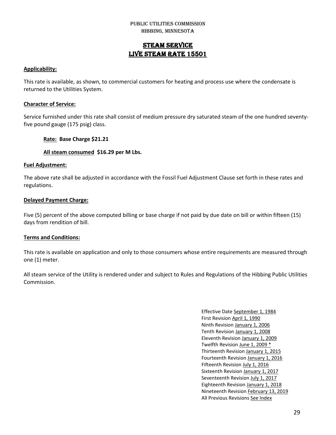# STEAM SERVICE LIVE STEAM RATE 15501

### **Applicability:**

This rate is available, as shown, to commercial customers for heating and process use where the condensate is returned to the Utilities System.

### **Character of Service:**

Service furnished under this rate shall consist of medium pressure dry saturated steam of the one hundred seventyfive pound gauge (175 psig) class.

### **Rate: Base Charge \$21.21**

### **All steam consumed \$16.29 per M Lbs.**

### **Fuel Adjustment:**

The above rate shall be adjusted in accordance with the Fossil Fuel Adjustment Clause set forth in these rates and regulations.

### **Delayed Payment Charge:**

Five (5) percent of the above computed billing or base charge if not paid by due date on bill or within fifteen (15) days from rendition of bill.

### **Terms and Conditions:**

This rate is available on application and only to those consumers whose entire requirements are measured through one (1) meter.

All steam service of the Utility is rendered under and subject to Rules and Regulations of the Hibbing Public Utilities Commission.

> Effective Date September 1, 1984 First Revision April 1, 1990 Ninth Revision January 1, 2006 Tenth Revision January 1, 2008 Eleventh Revision January 1, 2009 Twelfth Revision June 1, 2009 \* Thirteenth Revision January 1, 2015 Fourteenth Revision January 1, 2016 Fifteenth Revision July 1, 2016 Sixteenth Revision January 1, 2017 Seventeenth Revision July 1, 2017 Eighteenth Revision January 1, 2018 Nineteenth Revision February 13, 2019 All Previous Revisions See Index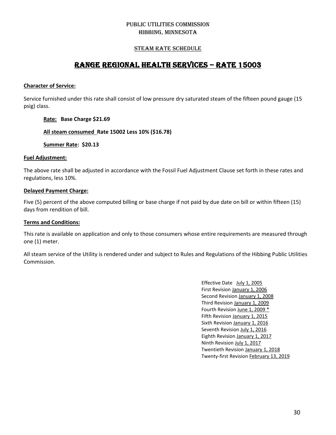### STEAM RATE SCHEDULE

# RANGE REGIONAL HEALTH SERVICES – RATE 15003

### **Character of Service:**

Service furnished under this rate shall consist of low pressure dry saturated steam of the fifteen pound gauge (15 psig) class.

### **Rate: Base Charge \$21.69**

**All steam consumed Rate 15002 Less 10% (\$16.78)**

**Summer Rate: \$20.13**

### **Fuel Adjustment:**

The above rate shall be adjusted in accordance with the Fossil Fuel Adjustment Clause set forth in these rates and regulations, less 10%.

### **Delayed Payment Charge:**

Five (5) percent of the above computed billing or base charge if not paid by due date on bill or within fifteen (15) days from rendition of bill.

### **Terms and Conditions:**

This rate is available on application and only to those consumers whose entire requirements are measured through one (1) meter.

All steam service of the Utility is rendered under and subject to Rules and Regulations of the Hibbing Public Utilities Commission.

> Effective Date July 1, 2005 First Revision January 1, 2006 Second Revision January 1, 2008 Third Revision January 1, 2009 Fourth Revision June 1, 2009 \* Fifth Revision January 1, 2015 Sixth Revision January 1, 2016 Seventh Revision July 1, 2016 Eighth Revision January 1, 2017 Ninth Revision July 1, 2017 Twentieth Revision January 1, 2018 Twenty-first Revision February 13, 2019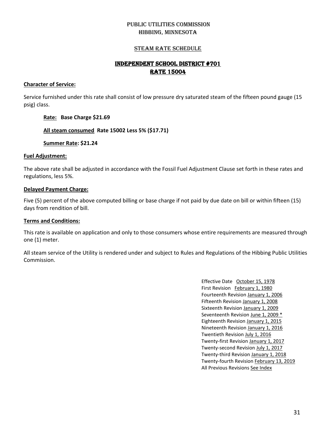### STEAM RATE SCHEDULE

# INDEPENDENT SCHOOL DISTRICT #701 RATE 15004

### **Character of Service:**

Service furnished under this rate shall consist of low pressure dry saturated steam of the fifteen pound gauge (15 psig) class.

### **Rate: Base Charge \$21.69**

### **All steam consumed Rate 15002 Less 5% (\$17.71)**

**Summer Rate: \$21.24**

### **Fuel Adjustment:**

The above rate shall be adjusted in accordance with the Fossil Fuel Adjustment Clause set forth in these rates and regulations, less 5%.

### **Delayed Payment Charge:**

Five (5) percent of the above computed billing or base charge if not paid by due date on bill or within fifteen (15) days from rendition of bill.

### **Terms and Conditions:**

This rate is available on application and only to those consumers whose entire requirements are measured through one (1) meter.

All steam service of the Utility is rendered under and subject to Rules and Regulations of the Hibbing Public Utilities Commission.

> Effective Date October 15, 1978 First Revision February 1, 1980 Fourteenth Revision January 1, 2006 Fifteenth Revision January 1, 2008 Sixteenth Revision January 1, 2009 Seventeenth Revision June 1, 2009 \* Eighteenth Revision January 1, 2015 Nineteenth Revision January 1, 2016 Twentieth Revision July 1, 2016 Twenty-first Revision January 1, 2017 Twenty-second Revision July 1, 2017 Twenty-third Revision January 1, 2018 Twenty-fourth Revision February 13, 2019 All Previous Revisions See Index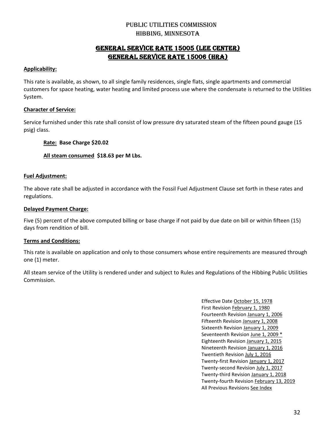# GENERAL SERVICE RATE 15005 (Lee Center) GENERAL SERVICE RATE 15006 (HRA)

### **Applicability:**

This rate is available, as shown, to all single family residences, single flats, single apartments and commercial customers for space heating, water heating and limited process use where the condensate is returned to the Utilities System.

### **Character of Service:**

Service furnished under this rate shall consist of low pressure dry saturated steam of the fifteen pound gauge (15 psig) class.

### **Rate: Base Charge \$20.02**

**All steam consumed \$18.63 per M Lbs.**

### **Fuel Adjustment:**

The above rate shall be adjusted in accordance with the Fossil Fuel Adjustment Clause set forth in these rates and regulations.

### **Delayed Payment Charge:**

Five (5) percent of the above computed billing or base charge if not paid by due date on bill or within fifteen (15) days from rendition of bill.

### **Terms and Conditions:**

This rate is available on application and only to those consumers whose entire requirements are measured through one (1) meter.

All steam service of the Utility is rendered under and subject to Rules and Regulations of the Hibbing Public Utilities Commission.

> Effective Date October 15, 1978 First Revision February 1, 1980 Fourteenth Revision January 1, 2006 Fifteenth Revision January 1, 2008 Sixteenth Revision January 1, 2009 Seventeenth Revision June 1, 2009 \* Eighteenth Revision January 1, 2015 Nineteenth Revision January 1, 2016 Twentieth Revision July 1, 2016 Twenty-first Revision January 1, 2017 Twenty-second Revision July 1, 2017 Twenty-third Revision January 1, 2018 Twenty-fourth Revision February 13, 2019 All Previous Revisions See Index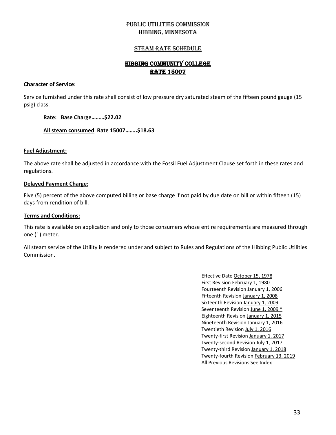### STEAM RATE SCHEDULE

# HIBBING COMMUNITY COLLEGE RATE 15007

### **Character of Service:**

Service furnished under this rate shall consist of low pressure dry saturated steam of the fifteen pound gauge (15 psig) class.

### **Rate: Base Charge………\$22.02**

**All steam consumed Rate 15007……..\$18.63**

### **Fuel Adjustment:**

The above rate shall be adjusted in accordance with the Fossil Fuel Adjustment Clause set forth in these rates and regulations.

### **Delayed Payment Charge:**

Five (5) percent of the above computed billing or base charge if not paid by due date on bill or within fifteen (15) days from rendition of bill.

### **Terms and Conditions:**

This rate is available on application and only to those consumers whose entire requirements are measured through one (1) meter.

All steam service of the Utility is rendered under and subject to Rules and Regulations of the Hibbing Public Utilities Commission.

> Effective Date October 15, 1978 First Revision February 1, 1980 Fourteenth Revision January 1, 2006 Fifteenth Revision January 1, 2008 Sixteenth Revision January 1, 2009 Seventeenth Revision June 1, 2009 \* Eighteenth Revision January 1, 2015 Nineteenth Revision January 1, 2016 Twentieth Revision July 1, 2016 Twenty-first Revision January 1, 2017 Twenty-second Revision July 1, 2017 Twenty-third Revision January 1, 2018 Twenty-fourth Revision February 13, 2019 All Previous Revisions See Index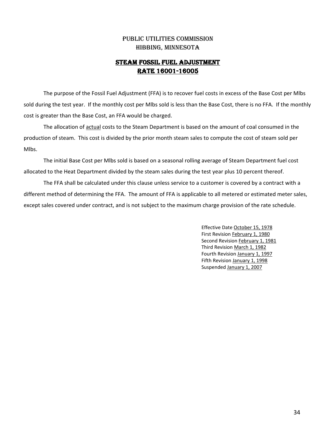# STEAM FOSSIL FUEL ADJUSTMENT RATE 16001-16005

The purpose of the Fossil Fuel Adjustment (FFA) is to recover fuel costs in excess of the Base Cost per Mlbs sold during the test year. If the monthly cost per Mlbs sold is less than the Base Cost, there is no FFA. If the monthly cost is greater than the Base Cost, an FFA would be charged.

The allocation of actual costs to the Steam Department is based on the amount of coal consumed in the production of steam. This cost is divided by the prior month steam sales to compute the cost of steam sold per Mlbs.

The initial Base Cost per Mlbs sold is based on a seasonal rolling average of Steam Department fuel cost allocated to the Heat Department divided by the steam sales during the test year plus 10 percent thereof.

The FFA shall be calculated under this clause unless service to a customer is covered by a contract with a different method of determining the FFA. The amount of FFA is applicable to all metered or estimated meter sales, except sales covered under contract, and is not subject to the maximum charge provision of the rate schedule.

> Effective Date October 15, 1978 First Revision February 1, 1980 Second Revision February 1, 1981 Third Revision March 1, 1982 Fourth Revision January 1, 1997 Fifth Revision January 1, 1998 Suspended January 1, 2007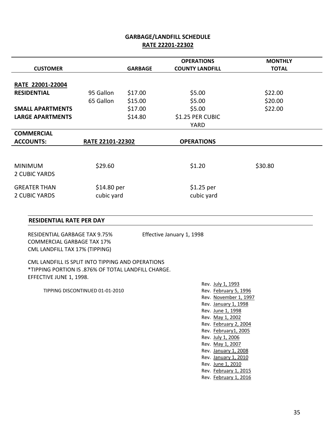# **GARBAGE/LANDFILL SCHEDULE RATE 22201-22302**

|                         |                  |                | <b>OPERATIONS</b>      | <b>MONTHLY</b> |  |
|-------------------------|------------------|----------------|------------------------|----------------|--|
| <b>CUSTOMER</b>         |                  | <b>GARBAGE</b> | <b>COUNTY LANDFILL</b> | <b>TOTAL</b>   |  |
|                         |                  |                |                        |                |  |
| RATE 22001-22004        |                  |                |                        |                |  |
| <b>RESIDENTIAL</b>      | 95 Gallon        | \$17.00        | \$5.00                 | \$22.00        |  |
|                         | 65 Gallon        | \$15.00        | \$5.00                 | \$20.00        |  |
| <b>SMALL APARTMENTS</b> |                  | \$17.00        | \$5.00                 | \$22.00        |  |
| <b>LARGE APARTMENTS</b> |                  | \$14.80        | \$1.25 PER CUBIC       |                |  |
|                         |                  |                | YARD                   |                |  |
| <b>COMMERCIAL</b>       |                  |                |                        |                |  |
| <b>ACCOUNTS:</b>        | RATE 22101-22302 |                | <b>OPERATIONS</b>      |                |  |
|                         |                  |                |                        |                |  |
|                         |                  |                |                        |                |  |
| <b>MINIMUM</b>          | \$29.60          |                | \$1.20                 | \$30.80        |  |
| 2 CUBIC YARDS           |                  |                |                        |                |  |
|                         |                  |                |                        |                |  |
| <b>GREATER THAN</b>     | \$14.80 per      |                | $$1.25$ per            |                |  |
| <b>2 CUBIC YARDS</b>    | cubic yard       |                | cubic yard             |                |  |
|                         |                  |                |                        |                |  |

### **RESIDENTIAL RATE PER DAY**

 RESIDENTIAL GARBAGE TAX 9.75% Effective January 1, 1998 COMMERCIAL GARBAGE TAX 17% CML LANDFILL TAX 17% (TIPPING)

 CML LANDFILL IS SPLIT INTO TIPPING AND OPERATIONS \*TIPPING PORTION IS .876% OF TOTAL LANDFILL CHARGE. EFFECTIVE JUNE 1, 1998.

TIPPING DISCONTINUED 01-01-2010 Rev. February 5, 1996

Rev. July 1, 1993 Rev. November 1, 1997 Rev. January 1, 1998 Rev. June 1, 1998 Rev. May 1, 2002 Rev. February 2, 2004 Rev. February1, 2005 Rev. July 1, 2006 Rev. May 1, 2007 Rev. January 1, 2008 Rev. January 1, 2010 Rev. June 1, 2010 Rev. February 1, 2015 Rev. February 1, 2016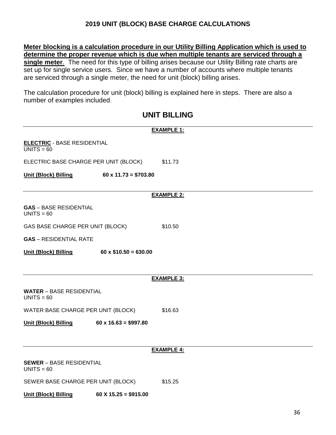# **2019 UNIT (BLOCK) BASE CHARGE CALCULATIONS**

**Meter blocking is a calculation procedure in our Utility Billing Application which is used to determine the proper revenue which is due when multiple tenants are serviced through a single meter**. The need for this type of billing arises because our Utility Billing rate charts are set up for single service users. Since we have a number of accounts where multiple tenants are serviced through a single meter, the need for unit (block) billing arises.

The calculation procedure for unit (block) billing is explained here in steps. There are also a number of examples included.

# **UNIT BILLING**

|                                                    |                             | <b>EXAMPLE 1:</b> |
|----------------------------------------------------|-----------------------------|-------------------|
| <b>ELECTRIC</b> - BASE RESIDENTIAL<br>$UNITS = 60$ |                             |                   |
| ELECTRIC BASE CHARGE PER UNIT (BLOCK)              |                             | \$11.73           |
| <b>Unit (Block) Billing</b>                        | $60 \times 11.73 = $703.80$ |                   |
|                                                    |                             | <b>EXAMPLE 2:</b> |
| <b>GAS</b> - BASE RESIDENTIAL<br>$UNITS = 60$      |                             |                   |
| GAS BASE CHARGE PER UNIT (BLOCK)                   |                             | \$10.50           |
| <b>GAS</b> - RESIDENTIAL RATE                      |                             |                   |
| <b>Unit (Block) Billing</b>                        | $60 \times $10.50 = 630.00$ |                   |
|                                                    |                             |                   |
|                                                    |                             | <b>EXAMPLE 3:</b> |
| <b>WATER</b> – BASE RESIDENTIAL<br>$UNITS = 60$    |                             |                   |
| WATER BASE CHARGE PER UNIT (BLOCK)                 |                             | \$16.63           |
| <b>Unit (Block) Billing</b>                        | $60 \times 16.63 = $997.80$ |                   |
|                                                    |                             |                   |
|                                                    |                             | <b>EXAMPLE 4:</b> |
| <b>SEWER</b> - BASE RESIDENTIAL<br>$UNITS = 60$    |                             |                   |
| SEWER BASE CHARGE PER UNIT (BLOCK)                 |                             | \$15.25           |
| <b>Unit (Block) Billing</b>                        | $60 X 15.25 = $915.00$      |                   |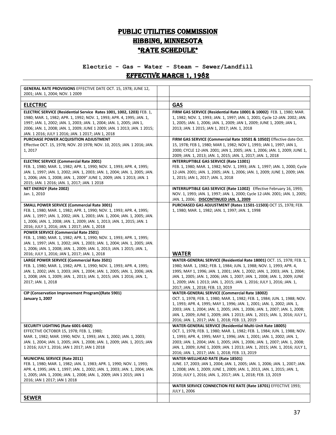# PUBLIC UTILITIES COMMISSION HIBBING, MINNESOTA \*RATE SCHEDULE\*

# **Electric - Gas – Water - Steam – Sewer/Landfill** Effective March 1, 1982

| GENERAL RATE PROVISIONS EFFECTIVE DATE OCT. 15, 1978; JUNE 12,<br>2001; JAN. 1, 2004; NOV. 1 2009                                                                                                                                                                                                                                                        |                                                                                                                                                                                                                                                                                                                                                                                                                                      |
|----------------------------------------------------------------------------------------------------------------------------------------------------------------------------------------------------------------------------------------------------------------------------------------------------------------------------------------------------------|--------------------------------------------------------------------------------------------------------------------------------------------------------------------------------------------------------------------------------------------------------------------------------------------------------------------------------------------------------------------------------------------------------------------------------------|
|                                                                                                                                                                                                                                                                                                                                                          |                                                                                                                                                                                                                                                                                                                                                                                                                                      |
| <b>ELECTRIC</b>                                                                                                                                                                                                                                                                                                                                          | <b>GAS</b>                                                                                                                                                                                                                                                                                                                                                                                                                           |
| ELECTRIC SERVICE (Residential Service Rates 1001, 1002, 1203) FEB. 1,<br>1980; MAR. 1, 1982; APR. 1, 1992; NOV. 1, 1993; APR. 4, 1995; JAN. 1,<br>1997; JAN. 1, 2002; JAN. 1, 2003; JAN. 1, 2004; JAN. 1, 2005; JAN 1,<br>2006; JAN. 1, 2008; JAN. 1, 2009; JUNE 1 2009; JAN. 1 2013; JAN. 1 2015;<br>JAN. 1 2016; JULY 1 2016; JAN. 1 2017; JAN 1, 2018 | FIRM GAS SERVICE (Residential Rate 10001 & 10002) FEB. 1, 1980; MAR.<br>1, 1982; NOV. 1, 1993; JAN. 1, 1997; JAN. 1, 2001; Cycle 12-JAN. 2002; JAN.<br>1, 2005; JAN. 1, 2006; JAN. 1, 2009; JAN 1, 2009; JUNE 1, 2009; JAN 1,<br>2013; JAN. 1 2015; JAN 1, 2017; JAN. 1, 2018                                                                                                                                                        |
| PURCHASE POWER ACQUISITION ADJUSTMENT<br>Effective OCT. 15, 1978; NOV. 20 1978; NOV. 10, 2015; JAN. 1 2016; JAN.<br>1, 2017                                                                                                                                                                                                                              | FIRM GAS SERVICE (Commercial Rate 10501 & 10502) Effective date Oct.<br>15, 1978; FEB 1, 1980; MAR 1, 1982; NOV 1, 1993; JAN 1, 1997; JAN 1,<br>2000; CYCLE 12-JAN. 2001; JAN 1, 2005; JAN. 1, 2006; JAN. 1, 2009; JUNE 1,<br>2009; JAN. 1, 2013; JAN. 1, 2015; JAN. 1, 2017; JAN. 1, 2018                                                                                                                                           |
| <b>ELECTRIC SERVICE (Commercial Rate 2001)</b><br>FEB. 1, 1980; MAR. 1, 1982; APR. 1, 1990; NOV. 1, 1993; APR. 4, 1995;<br>JAN. 1, 1997; JAN. 1, 2002; JAN. 1, 2003; JAN. 1, 2004; JAN. 1, 2005; JAN.<br>1, 2006; JAN. 1, 2008; JAN. 1, 2009" JUNE 1, 2009; JAN. 1 2013; JAN. 1<br>2015; JAN. 1 2016; JAN. 1, 2017; JAN. 1 2018                          | INTERRUPTIBLE GAS SERVICE (Rate 11001)<br>FEB. 1, 1980; MAR. 1, 1982; NOV. 1, 1993; JAN. 1, 1997; JAN. 1, 2000; Cycle<br>12-JAN. 2001; JAN. 1, 2005; JAN. 1, 2006; JAN. 1, 2009; JUNE 1, 2009; JAN.<br>1, 2015; JAN 1, 2017; JAN. 1, 2018                                                                                                                                                                                            |
| NET ENERGY (Rate 2002)<br>Jan. 1, 2010                                                                                                                                                                                                                                                                                                                   | INTERRUPTIBLE GAS SERVICE (Rate 11002) Effective February 16, 1993;<br>NOV. 1, 1993; JAN. 1, 1997; JAN. 1, 2000; Cycle 12-JAN. 2001; JAN. 1, 2005;<br>JAN. 1, 2006; DISCONTINUED JAN. 1, 2009                                                                                                                                                                                                                                        |
| <b>SMALL POWER SERVICE (Commercial Rate 3001)</b><br>FEB. 1, 1980; MAR. 1, 1982; APR. 1, 1990; NOV. 1, 1993; APR. 4, 1995;<br>JAN. 1, 1997; JAN. 1, 2002; JAN. 1, 2003; JAN. 1, 2004; JAN. 1, 2005; JAN.<br>1, 2006; JAN. 1, 2008; JAN. 1, 2009; JAN. 1, 2013; JAN. 1, 2015; JAN. 1<br>2016; JULY 1, 2016; JAN. 1 2017; JAN. 1, 2018                     | PURCHASED GAS ADJUSTMENT (Rates 11501-11503) OCT 15, 1978; FEB.<br>1, 1980; MAR. 1, 1982; JAN. 1, 1997; JAN. 1, 1998                                                                                                                                                                                                                                                                                                                 |
| <b>POWER SERVICE (Commercial Rate 2501)</b><br>FEB. 1, 1980; MAR. 1, 1982; APR. 1, 1990; NOV. 1, 1993; APR. 1, 1995;<br>JAN. 1, 1997; JAN. 1, 2002; JAN. 1, 2003; JAN. 1, 2004; JAN. 1, 2005; JAN.<br>1, 2006; JAN. 1, 2008; JAN. 1, 2009; JAN. 1, 2013; JAN. 1 2015; JAN. 1,<br>2016; JULY 1, 2016; JAN 1, 2017; JAN. 1, 2018                           | <b>WATER</b>                                                                                                                                                                                                                                                                                                                                                                                                                         |
| LARGE POWER SERVICE (Commercial Rate 3501)<br>FEB. 1, 1980; MAR. 1, 1982; APR. 1, 1990; NOV. 1, 1993; APR. 4, 1995;<br>JAN. 1, 2002; JAN. 1, 2003; JAN. 1, 2004; JAN. 1, 2005; JAN. 1, 2006; JAN.<br>1, 2008; JAN. 1, 2009; JAN. 1, 2013; JAN. 1, 2015; JAN. 1 2016; JAN. 1,<br>2017; JAN. 1, 2018                                                       | WATER-GENERAL SERVICE (Residential Rate 18001) OCT. 15, 1978; FEB. 1,<br>1980; MAR. 1, 1982; FEB. 1, 1984; JUN. 1, 1988; NOV. 1, 1993; APR. 4,<br>1995; MAY 1, 1996; JAN. 1, 2001; JAN. 1, 2002; JAN. 1, 2003; JAN. 1, 2004;<br>JAN. 1, 2005; JAN. 1, 2006; JAN. 1, 2007; JAN. 1, 2008; JAN. 1, 2009; JUNE<br>1, 2009; JAN. 1 2013; JAN. 1, 2015; JAN. 1, 2016; JULY 1, 2016; JAN. 1,<br>2017; JAN. 1, 2018; FEB. 13, 2019           |
| CIP (Conservation Improvement Program)(Rate 5901)<br><b>January 1, 2007</b>                                                                                                                                                                                                                                                                              | WATER-GENERAL SERVICE (Commercial Rate 18002)<br>OCT. 1, 1978; FEB. 1, 1980; MAR. 1, 1982; FEB. 1, 1984; JUN. 1, 1988; NOV.<br>1, 1993; APR. 4, 1995; MAY 1, 1996; JAN. 1, 2001; JAN. 1, 2002; JAN. 1,<br>2003; JAN. 1, 2004; JAN. 1, 2005; JAN. 1, 2006; JAN. 1, 2007; JAN. 1, 2008;<br>JAN. 1, 2009; JUNE 1, 2009; JAN. 1 2013; JAN. 1, 2015; JAN. 1, 2016; JULY 1,<br>2016; JAN. 1, 2017; JAN. 1, 2018; FEB. 13, 2019             |
| SECURITY LIGHTING (Rate 6001-6402)<br>EFFECTIVE OCTOBER 15, 1978; FEB. 1, 1980;<br>MAR. 1, 1982; MAR. 1990; NOV. 1, 1993; JAN. 1, 2002; JAN. 1, 2003;<br>JAN. 1, 2004; JAN. 1, 2005; JAN. 1, 2008; JAN. 1, 2009; JAN. 1, 2015; JAN<br>1 2016; JULY 1, 2016; JAN 1 2017; JAN 1 2018                                                                       | WATER-GENERAL SERVICE (Residential Multi-Unit Rate 18005)<br>OCT. 1, 1978; FEB. 1, 1980; MAR. 1, 1982; FEB. 1, 1984; JUN. 1, 1988; NOV.<br>1, 1993; APR. 4, 1995; MAY 1, 1996; JAN. 1, 2001; JAN. 1, 2002; JAN. 1,<br>2003; JAN. 1, 2004; JAN. 1, 2005; JAN. 1, 2006; JAN. 1, 2007; JAN. 1, 2008;<br>JAN. 1, 2009; JUNE 1, 2009; JAN. 1 2013; JAN. 1, 2015; JAN. 1, 2016; JULY 1,<br>2016; JAN. 1, 2017; JAN. 1, 2018; FEB. 13, 2019 |
| <b>MUNICIPAL SERVICE (Rate 2011)</b><br>FEB. 1, 1980; MAR. 1, 1982; JAN. 1, 1983; APR. 1, 1990; NOV. 1, 1993;<br>APR. 4, 1995; JAN. 1, 1997; JAN. 1, 2002; JAN. 1, 2003; JAN. 1, 2004; JAN.<br>1, 2005; JAN. 1, 2006; JAN. 1, 2008; JAN. 1, 2009; JAN 1 2015; JAN 1<br>2016; JAN 1 2017; JAN 1 2018                                                      | WATER-WELLHEAD RATE (Rate 18501)<br>JUNE. 17, 2003; JAN 1, 2004; JAN. 1, 2005; JAN. 1, 2006; JAN. 1, 2007; JAN.<br>1, 2008; JAN. 1, 2009; JUNE 1, 2009; JAN. 1, 2013, JAN. 1, 2015; JAN. 1,<br>2016; JULY 1, 2016; JAN. 1, 2017; JAN. 1, 2018; FEB. 13, 2019                                                                                                                                                                         |
|                                                                                                                                                                                                                                                                                                                                                          | WATER SERVICE CONNECTION FEE RATE (Rate 18701) EFFECTIVE 1993;<br><b>JULY 1, 2006</b>                                                                                                                                                                                                                                                                                                                                                |
| <b>SEWER</b>                                                                                                                                                                                                                                                                                                                                             |                                                                                                                                                                                                                                                                                                                                                                                                                                      |